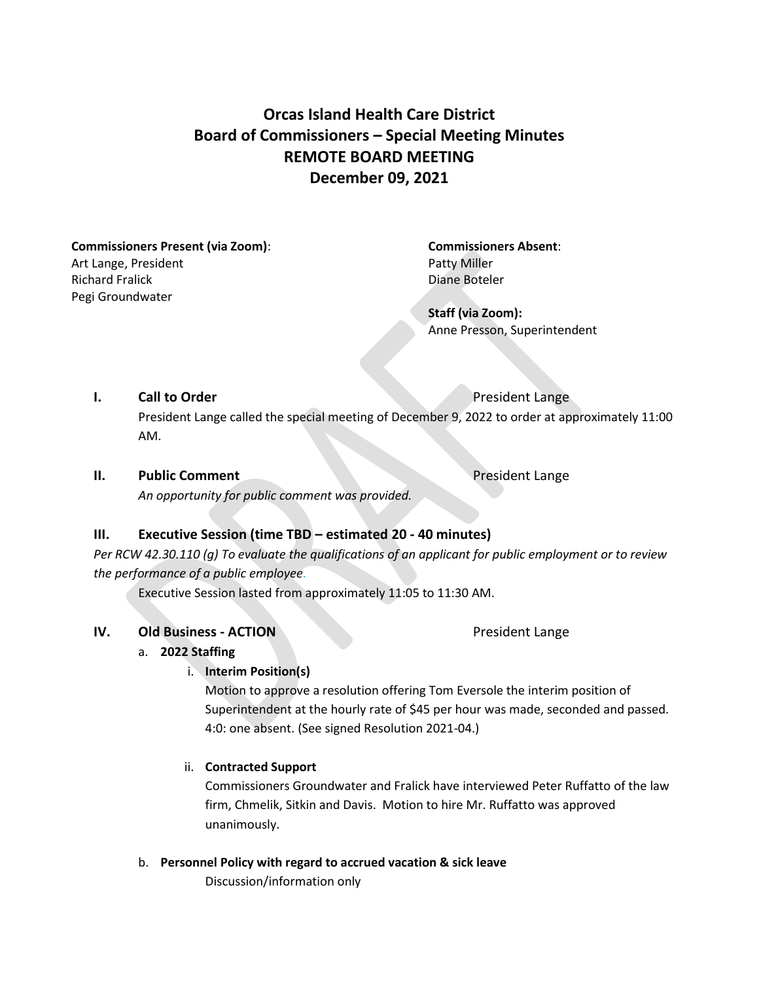## **Orcas Island Health Care District Board of Commissioners – Special Meeting Minutes REMOTE BOARD MEETING December 09, 2021**

**Commissioners Present (via Zoom)**: **Commissioners Absent**: Art Lange, President **Patty Miller** Richard Fralick **Diane Boteler** Diane Boteler Pegi Groundwater

**Staff (via Zoom):** Anne Presson, Superintendent

#### **I. Call to Order President Lange**

President Lange called the special meeting of December 9, 2022 to order at approximately 11:00 AM.

#### **II. Public Comment President Lange**

*An opportunity for public comment was provided.*

#### **III. Executive Session (time TBD – estimated 20 - 40 minutes)**

*Per RCW 42.30.110 (g) To evaluate the qualifications of an applicant for public employment or to review the performance of a public employee.* 

Executive Session lasted from approximately 11:05 to 11:30 AM.

#### **IV. Old Business - ACTION** President Lange

#### a. **2022 Staffing**

i. **Interim Position(s)**

Motion to approve a resolution offering Tom Eversole the interim position of Superintendent at the hourly rate of \$45 per hour was made, seconded and passed. 4:0: one absent. (See signed Resolution 2021-04.)

#### ii. **Contracted Support**

Commissioners Groundwater and Fralick have interviewed Peter Ruffatto of the law firm, Chmelik, Sitkin and Davis. Motion to hire Mr. Ruffatto was approved unanimously.

b. **Personnel Policy with regard to accrued vacation & sick leave**

Discussion/information only